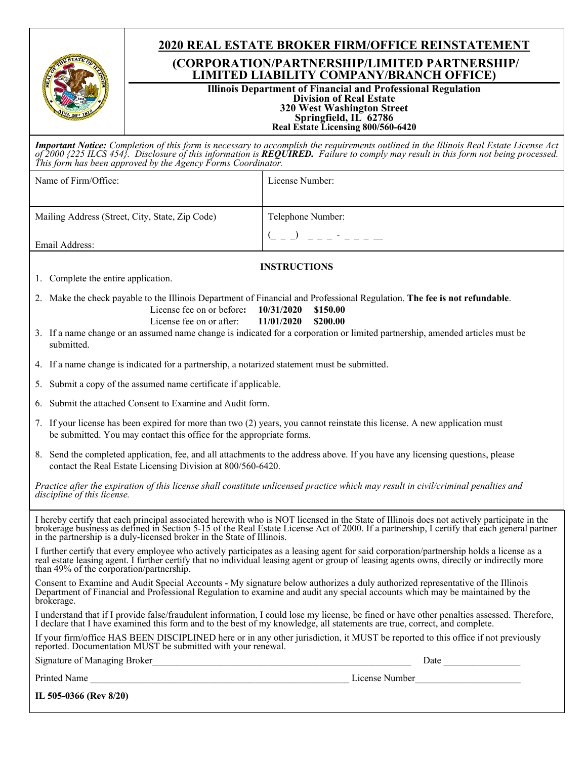|                                                                                                                                                                                                                                                                                                                                                                     | <b>2020 REAL ESTATE BROKER FIRM/OFFICE REINSTATEMENT</b>                                  |  |  |  |  |
|---------------------------------------------------------------------------------------------------------------------------------------------------------------------------------------------------------------------------------------------------------------------------------------------------------------------------------------------------------------------|-------------------------------------------------------------------------------------------|--|--|--|--|
|                                                                                                                                                                                                                                                                                                                                                                     | (CORPORATION/PARTNERSHIP/LIMITED PARTNERSHIP/<br>LIMITED LIABILITY COMPANY/BRANCH OFFICE) |  |  |  |  |
| <b>Illinois Department of Financial and Professional Regulation</b><br><b>Division of Real Estate</b><br><b>320 West Washington Street</b><br>Springfield, IL 62786<br>Real Estate Licensing 800/560-6420                                                                                                                                                           |                                                                                           |  |  |  |  |
| <b>Important Notice:</b> Completion of this form is necessary to accomplish the requirements outlined in the Illinois Real Estate License Act of 2000 {225 ILCS 454}. Disclosure of this information is <b>REQUIRED</b> . Failure to comp<br>This form has been approved by the Agency Forms Coordinator.                                                           |                                                                                           |  |  |  |  |
| Name of Firm/Office:                                                                                                                                                                                                                                                                                                                                                | License Number:                                                                           |  |  |  |  |
| Mailing Address (Street, City, State, Zip Code)                                                                                                                                                                                                                                                                                                                     | Telephone Number:                                                                         |  |  |  |  |
| Email Address:                                                                                                                                                                                                                                                                                                                                                      | $($ $ )$ $      -$                                                                        |  |  |  |  |
|                                                                                                                                                                                                                                                                                                                                                                     | <b>INSTRUCTIONS</b>                                                                       |  |  |  |  |
| 1. Complete the entire application.                                                                                                                                                                                                                                                                                                                                 |                                                                                           |  |  |  |  |
| 2. Make the check payable to the Illinois Department of Financial and Professional Regulation. The fee is not refundable.<br>License fee on or before:<br>10/31/2020<br>\$150.00                                                                                                                                                                                    |                                                                                           |  |  |  |  |
| License fee on or after:<br>11/01/2020<br>\$200.00<br>3. If a name change or an assumed name change is indicated for a corporation or limited partnership, amended articles must be<br>submitted.                                                                                                                                                                   |                                                                                           |  |  |  |  |
| 4. If a name change is indicated for a partnership, a notarized statement must be submitted.                                                                                                                                                                                                                                                                        |                                                                                           |  |  |  |  |
| Submit a copy of the assumed name certificate if applicable.<br>5.                                                                                                                                                                                                                                                                                                  |                                                                                           |  |  |  |  |
| Submit the attached Consent to Examine and Audit form.<br>6.                                                                                                                                                                                                                                                                                                        |                                                                                           |  |  |  |  |
| 7. If your license has been expired for more than two (2) years, you cannot reinstate this license. A new application must<br>be submitted. You may contact this office for the appropriate forms.                                                                                                                                                                  |                                                                                           |  |  |  |  |
| 8. Send the completed application, fee, and all attachments to the address above. If you have any licensing questions, please<br>contact the Real Estate Licensing Division at 800/560-6420.                                                                                                                                                                        |                                                                                           |  |  |  |  |
| Practice after the expiration of this license shall constitute unlicensed practice which may result in civil/criminal penalties and<br>discipline of this license.                                                                                                                                                                                                  |                                                                                           |  |  |  |  |
| I hereby certify that each principal associated herewith who is NOT licensed in the State of Illinois does not actively participate in the<br>brokerage business as defined in Section 5-15 of the Real Estate License Act of 2000. If a partnership, I certify that each general partner<br>in the partnership is a duly-licensed broker in the State of Illinois. |                                                                                           |  |  |  |  |
| I further certify that every employee who actively participates as a leasing agent for said corporation/partnership holds a license as a real estate leasing agent. I further certify that no individual leasing agent or grou<br>than 49% of the corporation/partnership.                                                                                          |                                                                                           |  |  |  |  |
| Consent to Examine and Audit Special Accounts - My signature below authorizes a duly authorized representative of the Illinois<br>Department of Financial and Professional Regulation to examine and audit any special accounts which may be maintained by the<br>brokerage.                                                                                        |                                                                                           |  |  |  |  |
| I understand that if I provide false/fraudulent information, I could lose my license, be fined or have other penalties assessed. Therefore,<br>I declare that I have examined this form and to the best of my knowledge, all statements are true, correct, and complete.                                                                                            |                                                                                           |  |  |  |  |
| If your firm/office HAS BEEN DISCIPLINED here or in any other jurisdiction, it MUST be reported to this office if not previously<br>reported. Documentation MUST be submitted with your renewal.                                                                                                                                                                    |                                                                                           |  |  |  |  |
|                                                                                                                                                                                                                                                                                                                                                                     |                                                                                           |  |  |  |  |
|                                                                                                                                                                                                                                                                                                                                                                     |                                                                                           |  |  |  |  |
| IL 505-0366 (Rev 8/20)                                                                                                                                                                                                                                                                                                                                              |                                                                                           |  |  |  |  |